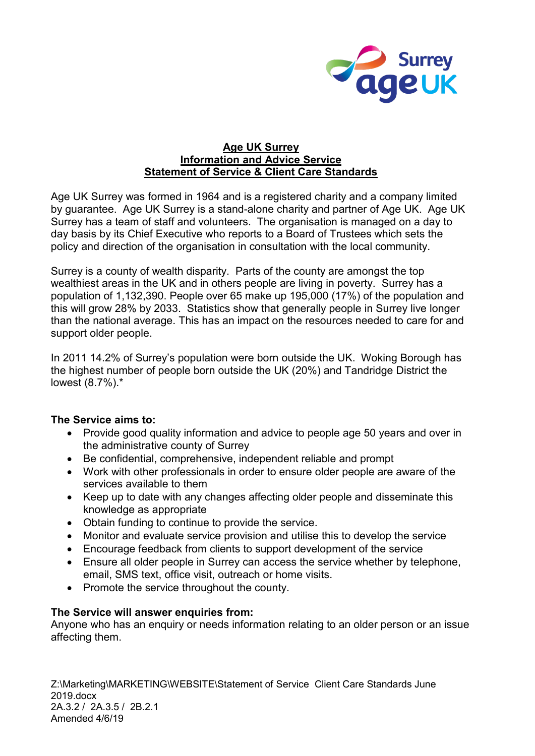

#### **Age UK Surrey Information and Advice Service Statement of Service & Client Care Standards**

Age UK Surrey was formed in 1964 and is a registered charity and a company limited by guarantee. Age UK Surrey is a stand-alone charity and partner of Age UK. Age UK Surrey has a team of staff and volunteers. The organisation is managed on a day to day basis by its Chief Executive who reports to a Board of Trustees which sets the policy and direction of the organisation in consultation with the local community.

Surrey is a county of wealth disparity. Parts of the county are amongst the top wealthiest areas in the UK and in others people are living in poverty. Surrey has a population of 1,132,390. People over 65 make up 195,000 (17%) of the population and this will grow 28% by 2033. Statistics show that generally people in Surrey live longer than the national average. This has an impact on the resources needed to care for and support older people.

In 2011 14.2% of Surrey's population were born outside the UK. Woking Borough has the highest number of people born outside the UK (20%) and Tandridge District the lowest (8.7%).\*

# **The Service aims to:**

- Provide good quality information and advice to people age 50 years and over in the administrative county of Surrey
- Be confidential, comprehensive, independent reliable and prompt
- Work with other professionals in order to ensure older people are aware of the services available to them
- Keep up to date with any changes affecting older people and disseminate this knowledge as appropriate
- Obtain funding to continue to provide the service.
- Monitor and evaluate service provision and utilise this to develop the service
- Encourage feedback from clients to support development of the service
- Ensure all older people in Surrey can access the service whether by telephone, email, SMS text, office visit, outreach or home visits.
- Promote the service throughout the county.

# **The Service will answer enquiries from:**

Anyone who has an enquiry or needs information relating to an older person or an issue affecting them.

Z:\Marketing\MARKETING\WEBSITE\Statement of Service Client Care Standards June 2019.docx 2A.3.2 / 2A.3.5 / 2B.2.1 Amended 4/6/19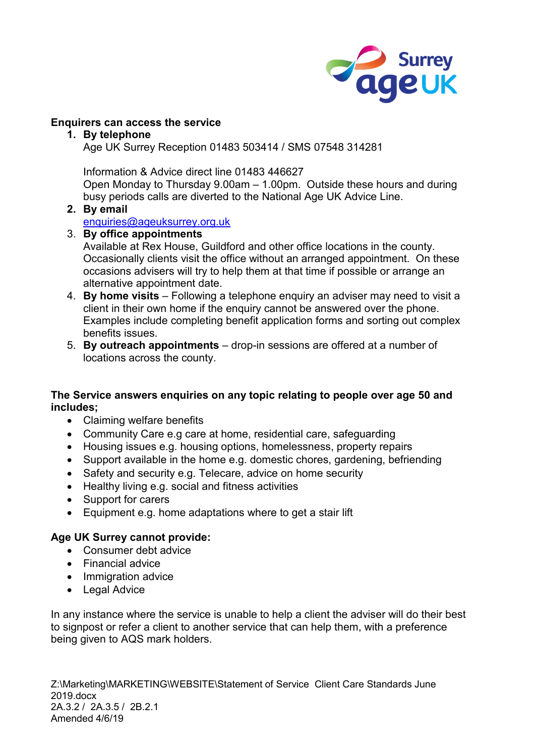

# **Enquirers can access the service**

# **1. By telephone**

Age UK Surrey Reception 01483 503414 / SMS 07548 314281

Information & Advice direct line 01483 446627

Open Monday to Thursday 9.00am – 1.00pm. Outside these hours and during busy periods calls are diverted to the National Age UK Advice Line.

# **2. By email**

[enquiries@ageuksurrey.org.uk](mailto:enquiries@ageuksurrey.org.uk)

# 3. **By office appointments**

Available at Rex House, Guildford and other office locations in the county. Occasionally clients visit the office without an arranged appointment. On these occasions advisers will try to help them at that time if possible or arrange an alternative appointment date.

- 4. **By home visits** Following a telephone enquiry an adviser may need to visit a client in their own home if the enquiry cannot be answered over the phone. Examples include completing benefit application forms and sorting out complex benefits issues.
- 5. **By outreach appointments** drop-in sessions are offered at a number of locations across the county.

# **The Service answers enquiries on any topic relating to people over age 50 and includes;**

- Claiming welfare benefits
- Community Care e.g care at home, residential care, safeguarding
- Housing issues e.g. housing options, homelessness, property repairs
- Support available in the home e.g. domestic chores, gardening, befriending
- Safety and security e.g. Telecare, advice on home security
- Healthy living e.g. social and fitness activities
- Support for carers
- Equipment e.g. home adaptations where to get a stair lift

# **Age UK Surrey cannot provide:**

- Consumer debt advice
- Financial advice
- Immigration advice
- Legal Advice

In any instance where the service is unable to help a client the adviser will do their best to signpost or refer a client to another service that can help them, with a preference being given to AQS mark holders.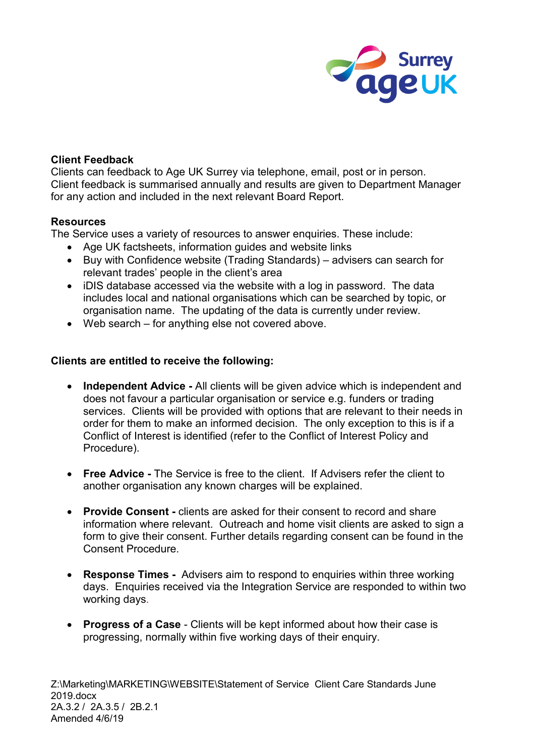

#### **Client Feedback**

Clients can feedback to Age UK Surrey via telephone, email, post or in person. Client feedback is summarised annually and results are given to Department Manager for any action and included in the next relevant Board Report.

#### **Resources**

The Service uses a variety of resources to answer enquiries. These include:

- Age UK factsheets, information guides and website links
- Buy with Confidence website (Trading Standards) advisers can search for relevant trades' people in the client's area
- iDIS database accessed via the website with a log in password. The data includes local and national organisations which can be searched by topic, or organisation name. The updating of the data is currently under review.
- Web search for anything else not covered above.

# **Clients are entitled to receive the following:**

- **Independent Advice -** All clients will be given advice which is independent and does not favour a particular organisation or service e.g. funders or trading services. Clients will be provided with options that are relevant to their needs in order for them to make an informed decision. The only exception to this is if a Conflict of Interest is identified (refer to the Conflict of Interest Policy and Procedure).
- **Free Advice -** The Service is free to the client. If Advisers refer the client to another organisation any known charges will be explained.
- **Provide Consent -** clients are asked for their consent to record and share information where relevant. Outreach and home visit clients are asked to sign a form to give their consent. Further details regarding consent can be found in the Consent Procedure.
- **Response Times** Advisers aim to respond to enquiries within three working days. Enquiries received via the Integration Service are responded to within two working days.
- **Progress of a Case** Clients will be kept informed about how their case is progressing, normally within five working days of their enquiry.